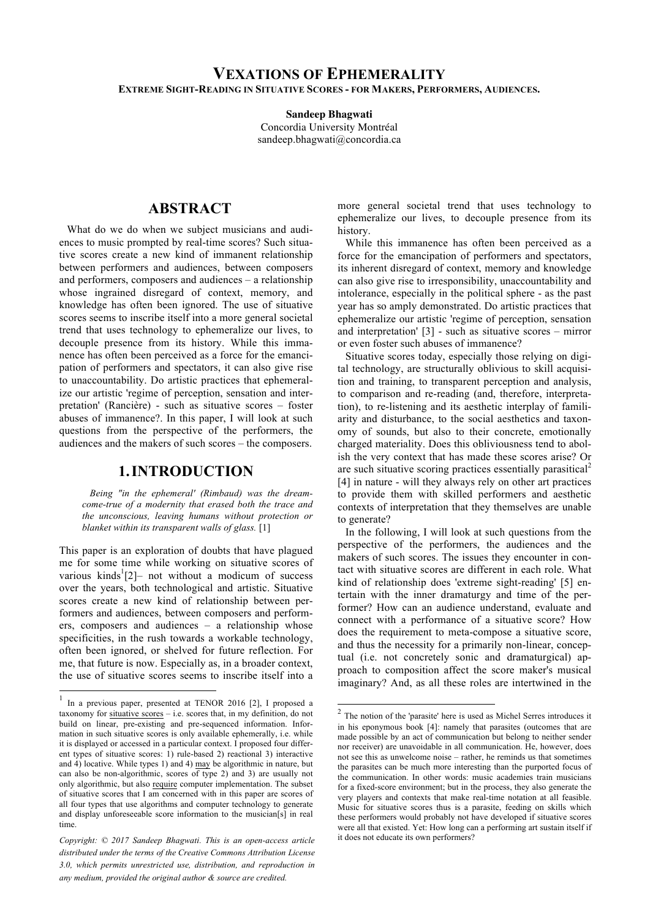#### **VEXATIONS OF EPHEMERALITY EXTREME SIGHT-READING IN SITUATIVE SCORES - FOR MAKERS, PERFORMERS, AUDIENCES.**

**Sandeep Bhagwati**

Concordia University Montréal sandeep.bhagwati@concordia.ca

### **ABSTRACT**

What do we do when we subject musicians and audiences to music prompted by real-time scores? Such situative scores create a new kind of immanent relationship between performers and audiences, between composers and performers, composers and audiences – a relationship whose ingrained disregard of context, memory, and knowledge has often been ignored. The use of situative scores seems to inscribe itself into a more general societal trend that uses technology to ephemeralize our lives, to decouple presence from its history. While this immanence has often been perceived as a force for the emancipation of performers and spectators, it can also give rise to unaccountability. Do artistic practices that ephemeralize our artistic 'regime of perception, sensation and interpretation' (Rancière) - such as situative scores – foster abuses of immanence?. In this paper, I will look at such questions from the perspective of the performers, the audiences and the makers of such scores – the composers.

#### **1.INTRODUCTION**

*Being "in the ephemeral' (Rimbaud) was the dreamcome-true of a modernity that erased both the trace and the unconscious, leaving humans without protection or blanket within its transparent walls of glass.* [1]

This paper is an exploration of doubts that have plagued me for some time while working on situative scores of various kinds<sup>1</sup> $[2]$ - not without a modicum of success over the years, both technological and artistic. Situative scores create a new kind of relationship between performers and audiences, between composers and performers, composers and audiences – a relationship whose specificities, in the rush towards a workable technology, often been ignored, or shelved for future reflection. For me, that future is now. Especially as, in a broader context, the use of situative scores seems to inscribe itself into a

more general societal trend that uses technology to ephemeralize our lives, to decouple presence from its history.

While this immanence has often been perceived as a force for the emancipation of performers and spectators, its inherent disregard of context, memory and knowledge can also give rise to irresponsibility, unaccountability and intolerance, especially in the political sphere - as the past year has so amply demonstrated. Do artistic practices that ephemeralize our artistic 'regime of perception, sensation and interpretation' [3] - such as situative scores – mirror or even foster such abuses of immanence?

Situative scores today, especially those relying on digital technology, are structurally oblivious to skill acquisition and training, to transparent perception and analysis, to comparison and re-reading (and, therefore, interpretation), to re-listening and its aesthetic interplay of familiarity and disturbance, to the social aesthetics and taxonomy of sounds, but also to their concrete, emotionally charged materiality. Does this obliviousness tend to abolish the very context that has made these scores arise? Or are such situative scoring practices essentially parasitical<sup>2</sup> [4] in nature - will they always rely on other art practices to provide them with skilled performers and aesthetic contexts of interpretation that they themselves are unable to generate?

In the following, I will look at such questions from the perspective of the performers, the audiences and the makers of such scores. The issues they encounter in contact with situative scores are different in each role. What kind of relationship does 'extreme sight-reading' [5] entertain with the inner dramaturgy and time of the performer? How can an audience understand, evaluate and connect with a performance of a situative score? How does the requirement to meta-compose a situative score, and thus the necessity for a primarily non-linear, conceptual (i.e. not concretely sonic and dramaturgical) approach to composition affect the score maker's musical imaginary? And, as all these roles are intertwined in the

 <sup>1</sup> In a previous paper, presented at TENOR 2016 [2], I proposed a taxonomy for situative scores  $-$  i.e. scores that, in my definition, do not build on linear, pre-existing and pre-sequenced information. Information in such situative scores is only available ephemerally, i.e. while it is displayed or accessed in a particular context. I proposed four different types of situative scores: 1) rule-based 2) reactional 3) interactive and 4) locative. While types 1) and 4) may be algorithmic in nature, but can also be non-algorithmic, scores of type 2) and 3) are usually not only algorithmic, but also require computer implementation. The subset of situative scores that I am concerned with in this paper are scores of all four types that use algorithms and computer technology to generate and display unforeseeable score information to the musician[s] in real time.

it does not educate its own performers? *Copyright: © 2017 Sandeep Bhagwati. This is an open-access article distributed under the terms of the Creative Commons Attribution License 3.0, which permits unrestricted use, distribution, and reproduction in any medium, provided the original author & source are credited.*

 <sup>2</sup> The notion of the 'parasite' here is used as Michel Serres introduces it in his eponymous book [4]: namely that parasites (outcomes that are made possible by an act of communication but belong to neither sender nor receiver) are unavoidable in all communication. He, however, does not see this as unwelcome noise – rather, he reminds us that sometimes the parasites can be much more interesting than the purported focus of the communication. In other words: music academies train musicians for a fixed-score environment; but in the process, they also generate the very players and contexts that make real-time notation at all feasible. Music for situative scores thus is a parasite, feeding on skills which these performers would probably not have developed if situative scores were all that existed. Yet: How long can a performing art sustain itself if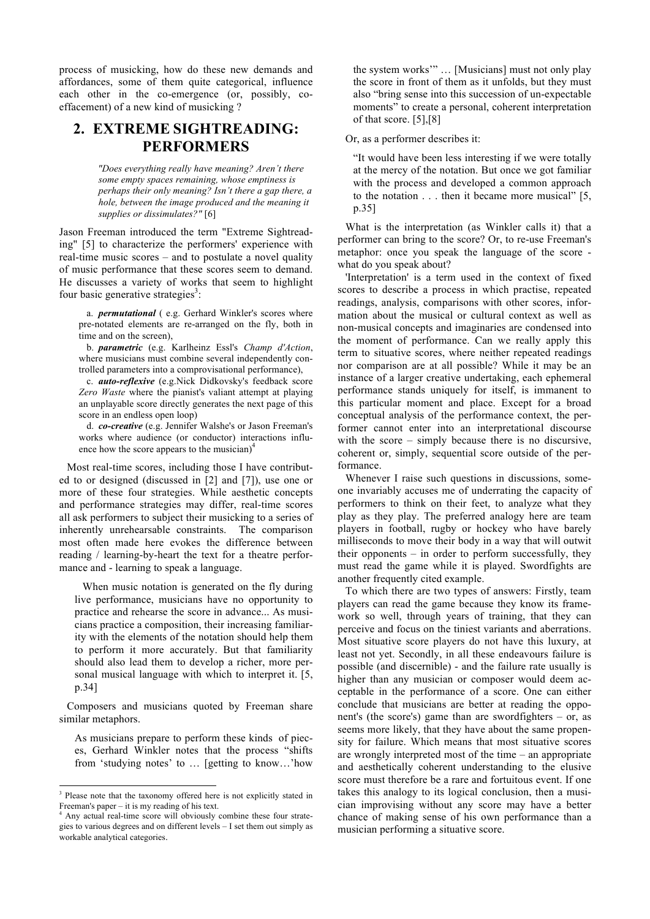process of musicking, how do these new demands and affordances, some of them quite categorical, influence each other in the co-emergence (or, possibly, coeffacement) of a new kind of musicking ?

## **2. EXTREME SIGHTREADING: PERFORMERS**

*"Does everything really have meaning? Aren't there some empty spaces remaining, whose emptiness is perhaps their only meaning? Isn't there a gap there, a hole, between the image produced and the meaning it supplies or dissimulates?"* [6]

Jason Freeman introduced the term "Extreme Sightreading" [5] to characterize the performers' experience with real-time music scores – and to postulate a novel quality of music performance that these scores seem to demand. He discusses a variety of works that seem to highlight four basic generative strategies<sup>3</sup>:

a. *permutational* ( e.g. Gerhard Winkler's scores where pre-notated elements are re-arranged on the fly, both in time and on the screen),

b. *parametric* (e.g. Karlheinz Essl's *Champ d'Action*, where musicians must combine several independently controlled parameters into a comprovisational performance),

c. *auto-reflexive* (e.g.Nick Didkovsky's feedback score *Zero Waste* where the pianist's valiant attempt at playing an unplayable score directly generates the next page of this score in an endless open loop)

d. *co-creative* (e.g. Jennifer Walshe's or Jason Freeman's works where audience (or conductor) interactions influence how the score appears to the musician) $<sup>4</sup>$ </sup>

Most real-time scores, including those I have contributed to or designed (discussed in [2] and [7]), use one or more of these four strategies. While aesthetic concepts and performance strategies may differ, real-time scores all ask performers to subject their musicking to a series of inherently unrehearsable constraints. The comparison most often made here evokes the difference between reading / learning-by-heart the text for a theatre performance and - learning to speak a language.

When music notation is generated on the fly during live performance, musicians have no opportunity to practice and rehearse the score in advance... As musicians practice a composition, their increasing familiarity with the elements of the notation should help them to perform it more accurately. But that familiarity should also lead them to develop a richer, more personal musical language with which to interpret it. [5, p.34]

Composers and musicians quoted by Freeman share similar metaphors.

As musicians prepare to perform these kinds of pieces, Gerhard Winkler notes that the process "shifts from 'studying notes' to … [getting to know…'how the system works'" … [Musicians] must not only play the score in front of them as it unfolds, but they must also "bring sense into this succession of un-expectable moments" to create a personal, coherent interpretation of that score. [5],[8]

Or, as a performer describes it:

"It would have been less interesting if we were totally at the mercy of the notation. But once we got familiar with the process and developed a common approach to the notation . . . then it became more musical" [5, p.35]

What is the interpretation (as Winkler calls it) that a performer can bring to the score? Or, to re-use Freeman's metaphor: once you speak the language of the score what do you speak about?

'Interpretation' is a term used in the context of fixed scores to describe a process in which practise, repeated readings, analysis, comparisons with other scores, information about the musical or cultural context as well as non-musical concepts and imaginaries are condensed into the moment of performance. Can we really apply this term to situative scores, where neither repeated readings nor comparison are at all possible? While it may be an instance of a larger creative undertaking, each ephemeral performance stands uniquely for itself, is immanent to this particular moment and place. Except for a broad conceptual analysis of the performance context, the performer cannot enter into an interpretational discourse with the score – simply because there is no discursive, coherent or, simply, sequential score outside of the performance.

Whenever I raise such questions in discussions, someone invariably accuses me of underrating the capacity of performers to think on their feet, to analyze what they play as they play. The preferred analogy here are team players in football, rugby or hockey who have barely milliseconds to move their body in a way that will outwit their opponents – in order to perform successfully, they must read the game while it is played. Swordfights are another frequently cited example.

To which there are two types of answers: Firstly, team players can read the game because they know its framework so well, through years of training, that they can perceive and focus on the tiniest variants and aberrations. Most situative score players do not have this luxury, at least not yet. Secondly, in all these endeavours failure is possible (and discernible) - and the failure rate usually is higher than any musician or composer would deem acceptable in the performance of a score. One can either conclude that musicians are better at reading the opponent's (the score's) game than are swordfighters – or, as seems more likely, that they have about the same propensity for failure. Which means that most situative scores are wrongly interpreted most of the time – an appropriate and aesthetically coherent understanding to the elusive score must therefore be a rare and fortuitous event. If one takes this analogy to its logical conclusion, then a musician improvising without any score may have a better chance of making sense of his own performance than a musician performing a situative score.

<sup>&</sup>lt;sup>3</sup> Please note that the taxonomy offered here is not explicitly stated in Freeman's paper – it is my reading of his text.

Any actual real-time score will obviously combine these four strategies to various degrees and on different levels – I set them out simply as workable analytical categories.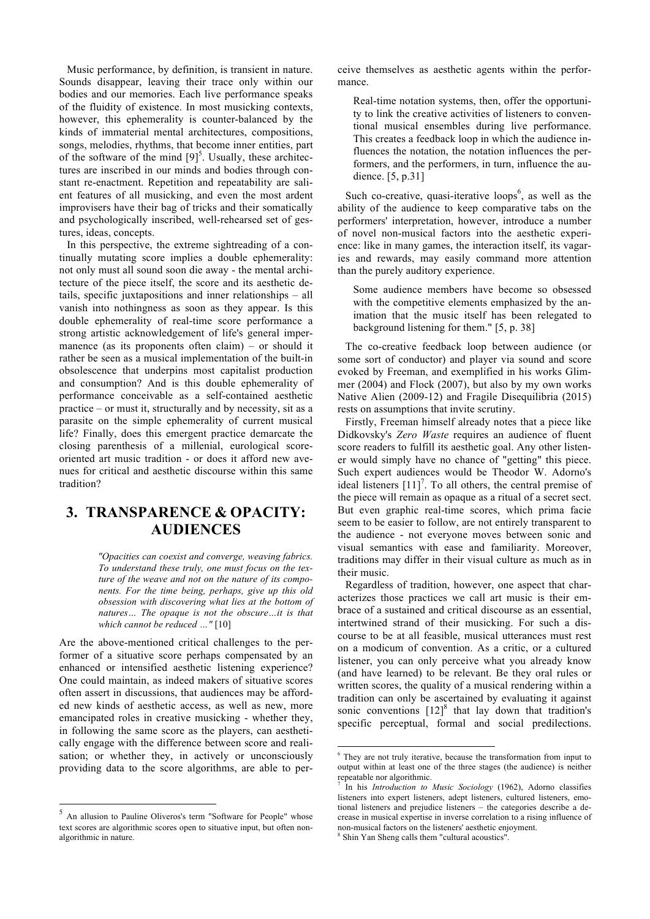Music performance, by definition, is transient in nature. Sounds disappear, leaving their trace only within our bodies and our memories. Each live performance speaks of the fluidity of existence. In most musicking contexts, however, this ephemerality is counter-balanced by the kinds of immaterial mental architectures, compositions, songs, melodies, rhythms, that become inner entities, part of the software of the mind  $[9]$ <sup>5</sup>. Usually, these architectures are inscribed in our minds and bodies through constant re-enactment. Repetition and repeatability are salient features of all musicking, and even the most ardent improvisers have their bag of tricks and their somatically and psychologically inscribed, well-rehearsed set of gestures, ideas, concepts.

In this perspective, the extreme sightreading of a continually mutating score implies a double ephemerality: not only must all sound soon die away - the mental architecture of the piece itself, the score and its aesthetic details, specific juxtapositions and inner relationships – all vanish into nothingness as soon as they appear. Is this double ephemerality of real-time score performance a strong artistic acknowledgement of life's general impermanence (as its proponents often claim) – or should it rather be seen as a musical implementation of the built-in obsolescence that underpins most capitalist production and consumption? And is this double ephemerality of performance conceivable as a self-contained aesthetic practice – or must it, structurally and by necessity, sit as a parasite on the simple ephemerality of current musical life? Finally, does this emergent practice demarcate the closing parenthesis of a millenial, eurological scoreoriented art music tradition - or does it afford new avenues for critical and aesthetic discourse within this same tradition?

## **3. TRANSPARENCE & OPACITY: AUDIENCES**

*"Opacities can coexist and converge, weaving fabrics. To understand these truly, one must focus on the texture of the weave and not on the nature of its components. For the time being, perhaps, give up this old obsession with discovering what lies at the bottom of natures… The opaque is not the obscure…it is that which cannot be reduced …"* [10]

Are the above-mentioned critical challenges to the performer of a situative score perhaps compensated by an enhanced or intensified aesthetic listening experience? One could maintain, as indeed makers of situative scores often assert in discussions, that audiences may be afforded new kinds of aesthetic access, as well as new, more emancipated roles in creative musicking - whether they, in following the same score as the players, can aesthetically engage with the difference between score and realisation; or whether they, in actively or unconsciously providing data to the score algorithms, are able to perceive themselves as aesthetic agents within the performance.

Real-time notation systems, then, offer the opportunity to link the creative activities of listeners to conventional musical ensembles during live performance. This creates a feedback loop in which the audience influences the notation, the notation influences the performers, and the performers, in turn, influence the audience. [5, p.31]

Such co-creative, quasi-iterative loops<sup>6</sup>, as well as the ability of the audience to keep comparative tabs on the performers' interpretation, however, introduce a number of novel non-musical factors into the aesthetic experience: like in many games, the interaction itself, its vagaries and rewards, may easily command more attention than the purely auditory experience.

Some audience members have become so obsessed with the competitive elements emphasized by the animation that the music itself has been relegated to background listening for them." [5, p. 38]

The co-creative feedback loop between audience (or some sort of conductor) and player via sound and score evoked by Freeman, and exemplified in his works Glimmer (2004) and Flock (2007), but also by my own works Native Alien (2009-12) and Fragile Disequilibria (2015) rests on assumptions that invite scrutiny.

Firstly, Freeman himself already notes that a piece like Didkovsky's *Zero Waste* requires an audience of fluent score readers to fulfill its aesthetic goal. Any other listener would simply have no chance of "getting" this piece. Such expert audiences would be Theodor W. Adorno's ideal listeners  $[11]$ <sup>7</sup>. To all others, the central premise of the piece will remain as opaque as a ritual of a secret sect. But even graphic real-time scores, which prima facie seem to be easier to follow, are not entirely transparent to the audience - not everyone moves between sonic and visual semantics with ease and familiarity. Moreover, traditions may differ in their visual culture as much as in their music.

Regardless of tradition, however, one aspect that characterizes those practices we call art music is their embrace of a sustained and critical discourse as an essential, intertwined strand of their musicking. For such a discourse to be at all feasible, musical utterances must rest on a modicum of convention. As a critic, or a cultured listener, you can only perceive what you already know (and have learned) to be relevant. Be they oral rules or written scores, the quality of a musical rendering within a tradition can only be ascertained by evaluating it against sonic conventions  $[12]^{8}$  that lay down that tradition's specific perceptual, formal and social predilections.

 <sup>5</sup> An allusion to Pauline Oliveros's term "Software for People" whose text scores are algorithmic scores open to situative input, but often nonalgorithmic in nature.

 <sup>6</sup> They are not truly iterative, because the transformation from input to output within at least one of the three stages (the audience) is neither repeatable nor algorithmic.

<sup>7</sup> In his *Introduction to Music Sociology* (1962), Adorno classifies listeners into expert listeners, adept listeners, cultured listeners, emotional listeners and prejudice listeners – the categories describe a decrease in musical expertise in inverse correlation to a rising influence of non-musical factors on the listeners' aesthetic enjoyment.

<sup>8</sup> Shin Yan Sheng calls them "cultural acoustics".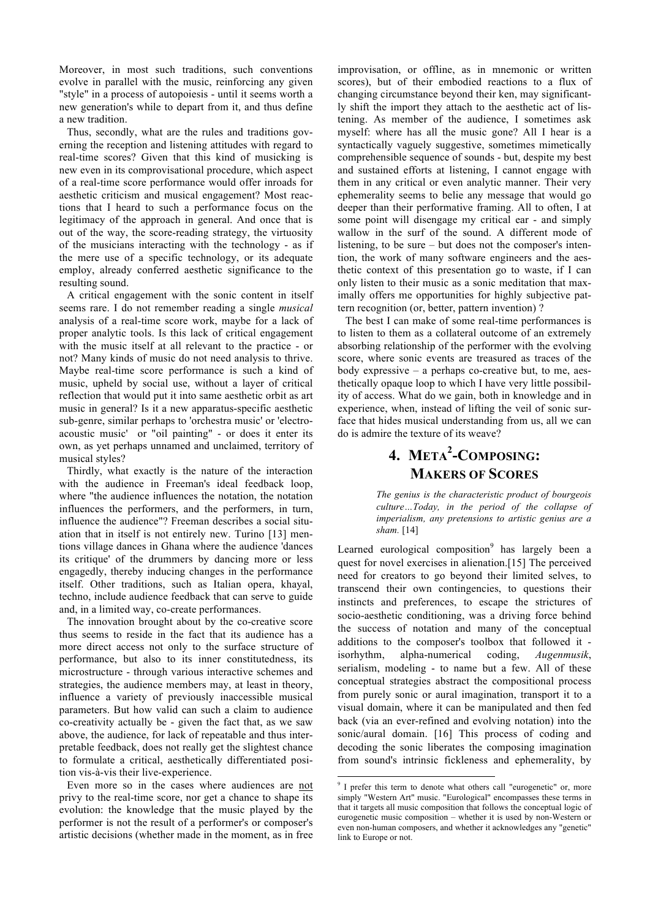Moreover, in most such traditions, such conventions evolve in parallel with the music, reinforcing any given "style" in a process of autopoiesis - until it seems worth a new generation's while to depart from it, and thus define a new tradition.

Thus, secondly, what are the rules and traditions governing the reception and listening attitudes with regard to real-time scores? Given that this kind of musicking is new even in its comprovisational procedure, which aspect of a real-time score performance would offer inroads for aesthetic criticism and musical engagement? Most reactions that I heard to such a performance focus on the legitimacy of the approach in general. And once that is out of the way, the score-reading strategy, the virtuosity of the musicians interacting with the technology - as if the mere use of a specific technology, or its adequate employ, already conferred aesthetic significance to the resulting sound.

A critical engagement with the sonic content in itself seems rare. I do not remember reading a single *musical* analysis of a real-time score work, maybe for a lack of proper analytic tools. Is this lack of critical engagement with the music itself at all relevant to the practice - or not? Many kinds of music do not need analysis to thrive. Maybe real-time score performance is such a kind of music, upheld by social use, without a layer of critical reflection that would put it into same aesthetic orbit as art music in general? Is it a new apparatus-specific aesthetic sub-genre, similar perhaps to 'orchestra music' or 'electroacoustic music' or "oil painting" - or does it enter its own, as yet perhaps unnamed and unclaimed, territory of musical styles?

Thirdly, what exactly is the nature of the interaction with the audience in Freeman's ideal feedback loop, where "the audience influences the notation, the notation influences the performers, and the performers, in turn, influence the audience"? Freeman describes a social situation that in itself is not entirely new. Turino [13] mentions village dances in Ghana where the audience 'dances its critique' of the drummers by dancing more or less engagedly, thereby inducing changes in the performance itself. Other traditions, such as Italian opera, khayal, techno, include audience feedback that can serve to guide and, in a limited way, co-create performances.

The innovation brought about by the co-creative score thus seems to reside in the fact that its audience has a more direct access not only to the surface structure of performance, but also to its inner constitutedness, its microstructure - through various interactive schemes and strategies, the audience members may, at least in theory, influence a variety of previously inaccessible musical parameters. But how valid can such a claim to audience co-creativity actually be - given the fact that, as we saw above, the audience, for lack of repeatable and thus interpretable feedback, does not really get the slightest chance to formulate a critical, aesthetically differentiated position vis-à-vis their live-experience.

Even more so in the cases where audiences are not privy to the real-time score, nor get a chance to shape its evolution: the knowledge that the music played by the performer is not the result of a performer's or composer's artistic decisions (whether made in the moment, as in free improvisation, or offline, as in mnemonic or written scores), but of their embodied reactions to a flux of changing circumstance beyond their ken, may significantly shift the import they attach to the aesthetic act of listening. As member of the audience, I sometimes ask myself: where has all the music gone? All I hear is a syntactically vaguely suggestive, sometimes mimetically comprehensible sequence of sounds - but, despite my best and sustained efforts at listening, I cannot engage with them in any critical or even analytic manner. Their very ephemerality seems to belie any message that would go deeper than their performative framing. All to often, I at some point will disengage my critical ear - and simply wallow in the surf of the sound. A different mode of listening, to be sure – but does not the composer's intention, the work of many software engineers and the aesthetic context of this presentation go to waste, if I can only listen to their music as a sonic meditation that maximally offers me opportunities for highly subjective pattern recognition (or, better, pattern invention) ?

The best I can make of some real-time performances is to listen to them as a collateral outcome of an extremely absorbing relationship of the performer with the evolving score, where sonic events are treasured as traces of the body expressive – a perhaps co-creative but, to me, aesthetically opaque loop to which I have very little possibility of access. What do we gain, both in knowledge and in experience, when, instead of lifting the veil of sonic surface that hides musical understanding from us, all we can do is admire the texture of its weave?

# **4. META<sup>2</sup> -COMPOSING: MAKERS OF SCORES**

*The genius is the characteristic product of bourgeois culture…Today, in the period of the collapse of imperialism, any pretensions to artistic genius are a sham.* [14]

Learned eurological composition $9$  has largely been a quest for novel exercises in alienation.[15] The perceived need for creators to go beyond their limited selves, to transcend their own contingencies, to questions their instincts and preferences, to escape the strictures of socio-aesthetic conditioning, was a driving force behind the success of notation and many of the conceptual additions to the composer's toolbox that followed it isorhythm, alpha-numerical coding, *Augenmusik*, serialism, modeling - to name but a few. All of these conceptual strategies abstract the compositional process from purely sonic or aural imagination, transport it to a visual domain, where it can be manipulated and then fed back (via an ever-refined and evolving notation) into the sonic/aural domain. [16] This process of coding and decoding the sonic liberates the composing imagination from sound's intrinsic fickleness and ephemerality, by

<sup>&</sup>lt;sup>9</sup> I prefer this term to denote what others call "eurogenetic" or, more simply "Western Art" music. "Eurological" encompasses these terms in that it targets all music composition that follows the conceptual logic of eurogenetic music composition – whether it is used by non-Western or even non-human composers, and whether it acknowledges any "genetic" link to Europe or not.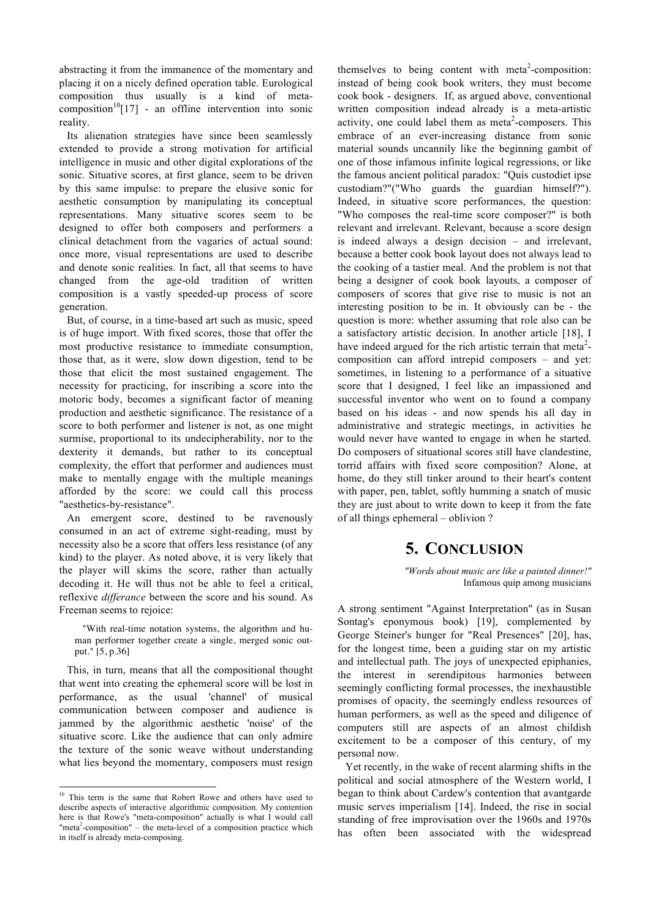abstracting it from the immanence of the momentary and placing it on a nicely defined operation table. Eurological composition thus usually is a kind of metacomposition<sup>10</sup>[17] - an offline intervention into sonic reality.

Its alienation strategies have since been seamlessly extended to provide a strong motivation for artificial intelligence in music and other digital explorations of the sonic. Situative scores, at first glance, seem to be driven by this same impulse: to prepare the elusive sonic for aesthetic consumption by manipulating its conceptual representations. Many situative scores seem to be designed to offer both composers and performers a clinical detachment from the vagaries of actual sound: once more, visual representations are used to describe and denote sonic realities. In fact, all that seems to have changed from the age-old tradition of written composition is a vastly speeded-up process of score generation.

But, of course, in a time-based art such as music, speed is of huge import. With fixed scores, those that offer the most productive resistance to immediate consumption, those that, as it were, slow down digestion, tend to be those that elicit the most sustained engagement. The necessity for practicing, for inscribing a score into the motoric body, becomes a significant factor of meaning production and aesthetic significance. The resistance of a score to both performer and listener is not, as one might surmise, proportional to its undecipherability, nor to the dexterity it demands, but rather to its conceptual complexity, the effort that performer and audiences must make to mentally engage with the multiple meanings afforded by the score: we could call this process "aesthetics-by-resistance".

An emergent score, destined to be ravenously consumed in an act of extreme sight-reading, must by necessity also be a score that offers less resistance (of any kind) to the player. As noted above, it is very likely that the player will skims the score, rather than actually decoding it. He will thus not be able to feel a critical, reflexive *differance* between the score and his sound. As Freeman seems to rejoice:

"With real-time notation systems, the algorithm and human performer together create a single, merged sonic output." [5, p.36]

This, in turn, means that all the compositional thought that went into creating the ephemeral score will be lost in performance, as the usual 'channel' of musical communication between composer and audience is jammed by the algorithmic aesthetic 'noise' of the situative score. Like the audience that can only admire the texture of the sonic weave without understanding what lies beyond the momentary, composers must resign themselves to being content with meta<sup>2</sup>-composition: instead of being cook book writers, they must become cook book - designers. If, as argued above, conventional written composition indead already is a meta-artistic activity, one could label them as meta<sup>2</sup>-composers. This embrace of an ever-increasing distance from sonic material sounds uncannily like the beginning gambit of one of those infamous infinite logical regressions, or like the famous ancient political paradox: "Quis custodiet ipse custodiam?"("Who guards the guardian himself?"). Indeed, in situative score performances, the question: "Who composes the real-time score composer?" is both relevant and irrelevant. Relevant, because a score design is indeed always a design decision – and irrelevant, because a better cook book layout does not always lead to the cooking of a tastier meal. And the problem is not that being a designer of cook book layouts, a composer of composers of scores that give rise to music is not an interesting position to be in. It obviously can be - the question is more: whether assuming that role also can be a satisfactory artistic decision. In another article [18], I have indeed argued for the rich artistic terrain that meta $2$ composition can afford intrepid composers – and yet: sometimes, in listening to a performance of a situative score that I designed, I feel like an impassioned and successful inventor who went on to found a company based on his ideas - and now spends his all day in administrative and strategic meetings, in activities he would never have wanted to engage in when he started. Do composers of situational scores still have clandestine, torrid affairs with fixed score composition? Alone, at home, do they still tinker around to their heart's content with paper, pen, tablet, softly humming a snatch of music they are just about to write down to keep it from the fate of all things ephemeral – oblivion ?

## **5. CONCLUSION**

*"Words about music are like a painted dinner!"* Infamous quip among musicians

A strong sentiment "Against Interpretation" (as in Susan Sontag's eponymous book) [19], complemented by George Steiner's hunger for "Real Presences" [20], has, for the longest time, been a guiding star on my artistic and intellectual path. The joys of unexpected epiphanies, the interest in serendipitous harmonies between seemingly conflicting formal processes, the inexhaustible promises of opacity, the seemingly endless resources of human performers, as well as the speed and diligence of computers still are aspects of an almost childish excitement to be a composer of this century, of my personal now.

Yet recently, in the wake of recent alarming shifts in the political and social atmosphere of the Western world, I began to think about Cardew's contention that avantgarde music serves imperialism [14]. Indeed, the rise in social standing of free improvisation over the 1960s and 1970s has often been associated with the widespread

<sup>&</sup>lt;sup>10</sup> This term is the same that Robert Rowe and others have used to describe aspects of interactive algorithmic composition. My contention here is that Rowe's "meta-composition" actually is what I would call "meta<sup>2</sup>-composition" – the meta-level of a composition practice which in itself is already meta-composing.